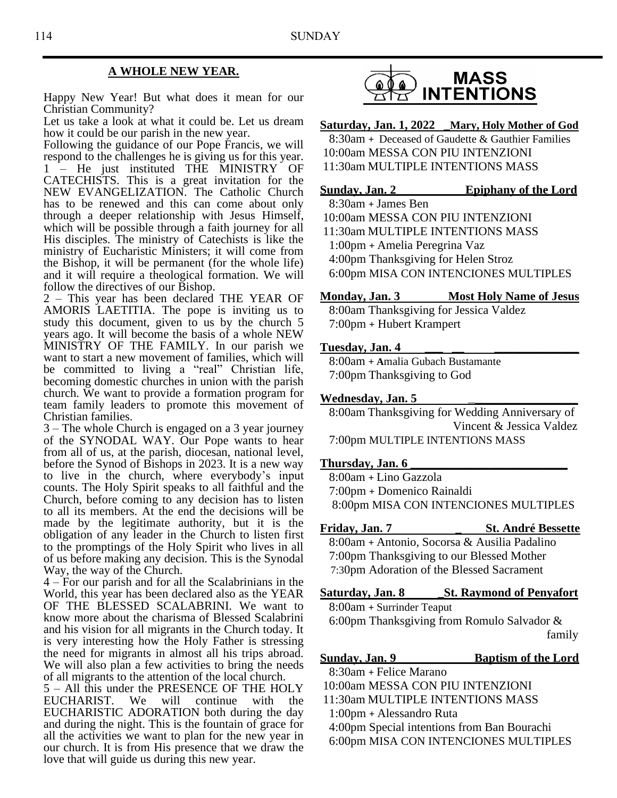### **A WHOLE NEW YEAR.**

Happy New Year! But what does it mean for our Christian Community?

Let us take a look at what it could be. Let us dream how it could be our parish in the new year.

Following the guidance of our Pope Francis, we will respond to the challenges he is giving us for this year. 1 – He just instituted THE MINISTRY OF CATECHISTS. This is a great invitation for the NEW EVANGELIZATION. The Catholic Church has to be renewed and this can come about only through a deeper relationship with Jesus Himself, which will be possible through a faith journey for all His disciples. The ministry of Catechists is like the ministry of Eucharistic Ministers; it will come from the Bishop, it will be permanent (for the whole life) and it will require a theological formation. We will follow the directives of our Bishop.

2 – This year has been declared THE YEAR OF AMORIS LAETITIA. The pope is inviting us to study this document, given to us by the church 5 years ago. It will become the basis of a whole NEW MINISTRY OF THE FAMILY. In our parish we want to start a new movement of families, which will be committed to living a "real" Christian life, becoming domestic churches in union with the parish church. We want to provide a formation program for team family leaders to promote this movement of Christian families.

3 – The whole Church is engaged on a 3 year journey of the SYNODAL WAY. Our Pope wants to hear from all of us, at the parish, diocesan, national level, before the Synod of Bishops in 2023. It is a new way to live in the church, where everybody's input counts. The Holy Spirit speaks to all faithful and the Church, before coming to any decision has to listen to all its members. At the end the decisions will be made by the legitimate authority, but it is the obligation of any leader in the Church to listen first to the promptings of the Holy Spirit who lives in all of us before making any decision. This is the Synodal Way, the way of the Church.

4 – For our parish and for all the Scalabrinians in the World, this year has been declared also as the YEAR OF THE BLESSED SCALABRINI. We want to know more about the charisma of Blessed Scalabrini and his vision for all migrants in the Church today. It is very interesting how the Holy Father is stressing the need for migrants in almost all his trips abroad. We will also plan a few activities to bring the needs of all migrants to the attention of the local church.

5 – All this under the PRESENCE OF THE HOLY<br>EUCHARIST. We will continue with the EUCHARIST. We will continue with the EUCHARISTIC ADORATION both during the day and during the night. This is the fountain of grace for all the activities we want to plan for the new year in our church. It is from His presence that we draw the love that will guide us during this new year.



**Saturday, Jan. 1, 2022 \_Mary, Holy Mother of God**

8:30am **+** Deceased of Gaudette & Gauthier Families 10:00am MESSA CON PIU INTENZIONI 11:30am MULTIPLE INTENTIONS MASS

### **Sunday, Jan. 2 Epiphany of the Lord**

8:30am **+** James Ben 10:00am MESSA CON PIU INTENZIONI 11:30am MULTIPLE INTENTIONS MASS 1:00pm **+** Amelia Peregrina Vaz 4:00pm Thanksgiving for Helen Stroz 6:00pm MISA CON INTENCIONES MULTIPLES

### **Monday, Jan. 3 Most Holy Name of Jesus**

8:00am Thanksgiving for Jessica Valdez 7:00pm **+** Hubert Krampert

### **Tuesday, Jan. 4 \_\_\_ \_\_ \_\_\_\_\_\_\_\_\_\_\_\_\_\_**

8:00am **+ A**malia Gubach Bustamante 7:00pm Thanksgiving to God

### **Wednesday, Jan. 5 \_\_\_\_\_\_\_\_\_\_\_\_\_\_\_\_\_\_\_**

8:00am Thanksgiving for Wedding Anniversary of Vincent & Jessica Valdez 7:00pm MULTIPLE INTENTIONS MASS

### **Thursday, Jan. 6 \_\_\_\_\_\_\_\_\_\_\_\_\_\_\_\_\_\_\_\_\_\_\_\_\_\_**

 8:00am **+** Lino Gazzola 7:00pm **+** Domenico Rainaldi 8:00pm MISA CON INTENCIONES MULTIPLES

**Friday, Jan. 7 \_ St. André Bessette**

8:00am **+** Antonio, Socorsa & Ausilia Padalino 7:00pm Thanksgiving to our Blessed Mother 7:30pm Adoration of the Blessed Sacrament

### **Saturday, Jan. 8 \_St. Raymond of Penyafort**

8:00am **+** Surrinder Teaput 6:00pm Thanksgiving from Romulo Salvador & family

### **Sunday, Jan. 9 Baptism of the Lord**

8:30am **+** Felice Marano

- 10:00am MESSA CON PIU INTENZIONI
- 11:30am MULTIPLE INTENTIONS MASS
- 1:00pm **+** Alessandro Ruta

4:00pm Special intentions from Ban Bourachi 6:00pm MISA CON INTENCIONES MULTIPLES